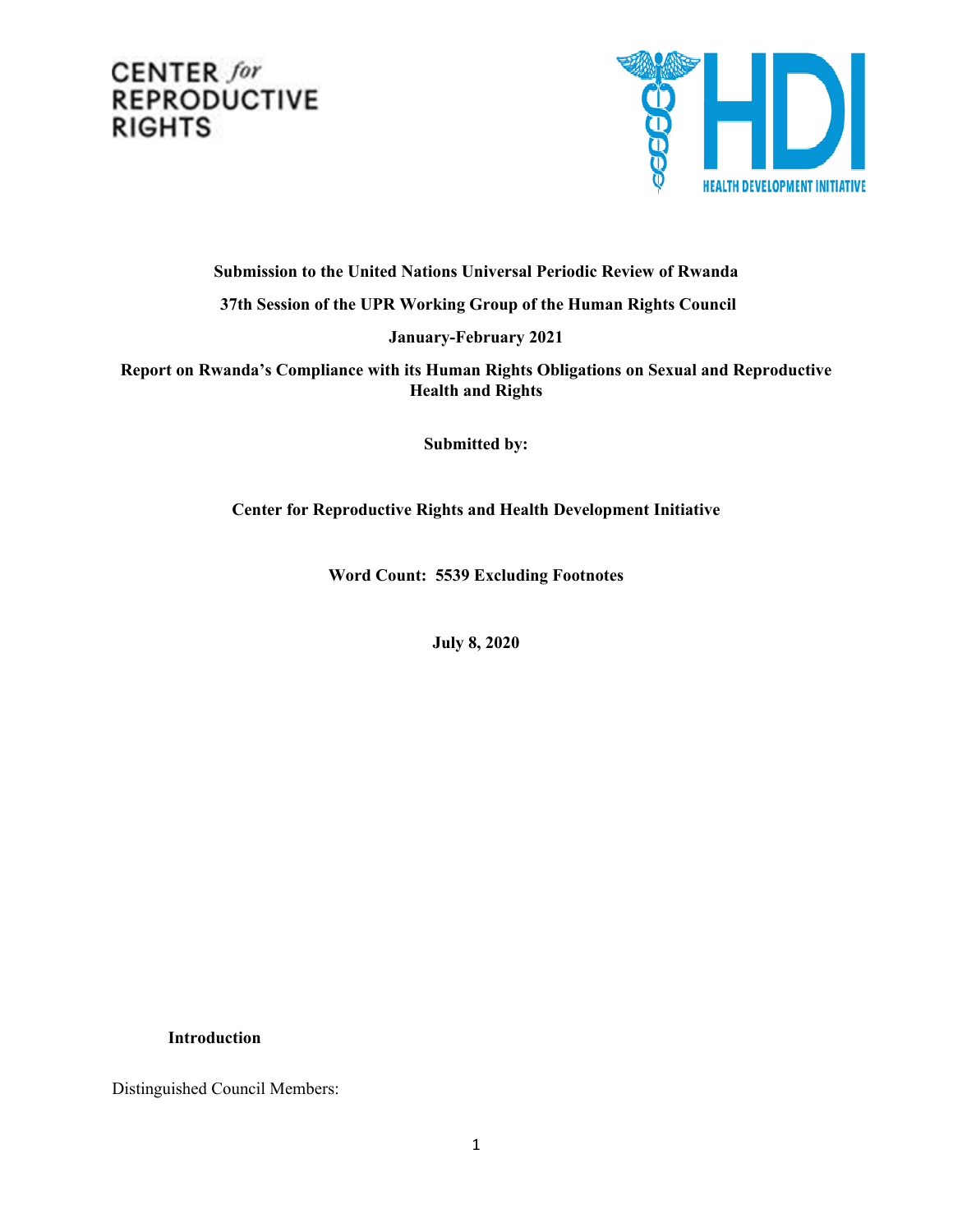# CENTER for **REPRODUCTIVE RIGHTS**



**Submission to the United Nations Universal Periodic Review of Rwanda 37th Session of the UPR Working Group of the Human Rights Council**

**January-February 2021**

**Report on Rwanda'<sup>s</sup> Compliance with its Human Rights Obligations on Sexual and Reproductive Health and Rights**

**Submitted by:**

**Center for Reproductive Rights and Health Development Initiative**

**Word Count: 5539 Excluding Footnotes**

**July 8, 2020**

### **Introduction**

Distinguished Council Members: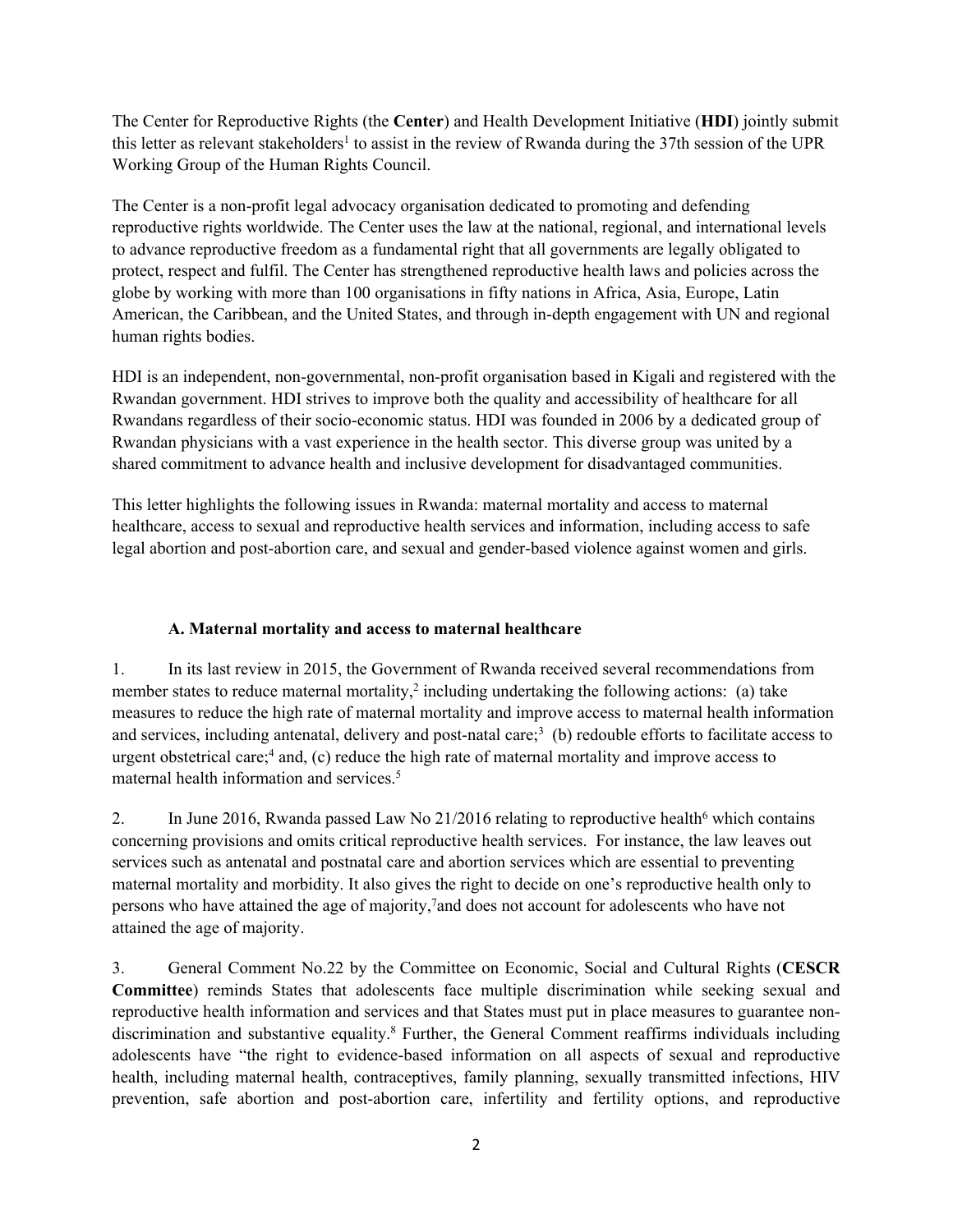The Center for Reproductive Rights (the **Center**) and Health Development Initiative (**HDI**) jointly submit this letter as relevant stakeholders<sup>1</sup> to assist in the review of Rwanda during the 37th session of the UPR Working Group of the Human Rights Council.

The Center is <sup>a</sup> non-profit legal advocacy organisation dedicated to promoting and defending reproductive rights worldwide. The Center uses the law at the national, regional, and international levels to advance reproductive freedom as <sup>a</sup> fundamental right that all governments are legally obligated to protect, respec<sup>t</sup> and fulfil. The Center has strengthened reproductive health laws and policies across the globe by working with more than 100 organisations in fifty nations in Africa, Asia, Europe, Latin American, the Caribbean, and the United States, and through in-depth engagemen<sup>t</sup> with UN and regional human rights bodies.

HDI is an independent, non-governmental, non-profit organisation based in Kigali and registered with the Rwandan government. HDI strives to improve both the quality and accessibility of healthcare for all Rwandans regardless of their socio-economic status. HDI was founded in 2006 by <sup>a</sup> dedicated group of Rwandan physicians with <sup>a</sup> vast experience in the health sector. This diverse group was united by <sup>a</sup> shared commitment to advance health and inclusive development for disadvantaged communities.

This letter highlights the following issues in Rwanda: maternal mortality and access to maternal healthcare, access to sexual and reproductive health services and information, including access to safe legal abortion and post-abortion care, and sexual and gender-based violence against women and girls.

## **A. Maternal mortality and access to maternal healthcare**

1. In its last review in 2015, the Government of Rwanda received several recommendations from member states to reduce maternal mortality,<sup>2</sup> including undertaking the following actions: (a) take measures to reduce the high rate of maternal mortality and improve access to maternal health information and services, including antenatal, delivery and post-natal care;<sup>3</sup> (b) redouble efforts to facilitate access to urgen<sup>t</sup> obstetrical care; 4 and, (c) reduce the high rate of maternal mortality and improve access to maternal health information and services. 5

2. In June 2016, Rwanda passed Law No 21/2016 relating to reproductive health<sup>6</sup> which contains concerning provisions and omits critical reproductive health services. For instance, the law leaves out services such as antenatal and postnatal care and abortion services which are essential to preventing maternal mortality and morbidity. It also gives the right to decide on one'<sup>s</sup> reproductive health only to persons who have attained the age of majority, 7 and does not account for adolescents who have not attained the age of majority.

3. General Comment No.22 by the Committee on Economic, Social and Cultural Rights (**CESCR Committee**) reminds States that adolescents face multiple discrimination while seeking sexual and reproductive health information and services and that States must pu<sup>t</sup> in place measures to guarantee nondiscrimination and substantive equality. 8 Further, the General Comment reaffirms individuals including adolescents have "the right to evidence-based information on all aspects of sexual and reproductive health, including maternal health, contraceptives, family planning, sexually transmitted infections, HIV prevention, safe abortion and post-abortion care, infertility and fertility options, and reproductive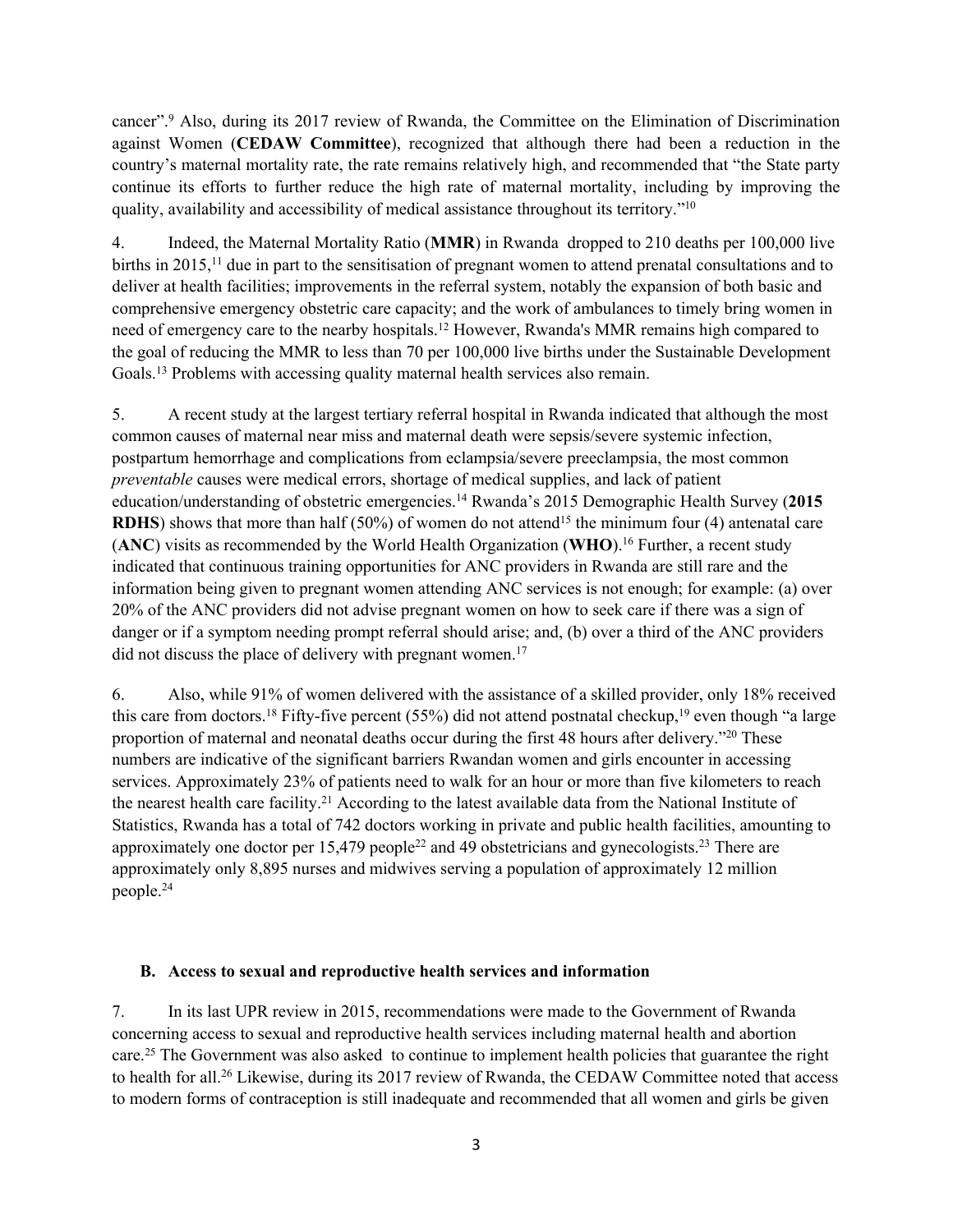cancer". <sup>9</sup> Also, during its 2017 review of Rwanda, the Committee on the Elimination of Discrimination against Women (**CEDAW Committee**), recognized that although there had been <sup>a</sup> reduction in the country'<sup>s</sup> maternal mortality rate, the rate remains relatively high, and recommended that "the State party continue its efforts to further reduce the high rate of maternal mortality, including by improving the quality, availability and accessibility of medical assistance throughout its territory."<sup>10</sup>

4. Indeed, the Maternal Mortality Ratio (**MMR**) in Rwanda dropped to 210 deaths per 100,000 live births in 2015,<sup>11</sup> due in part to the sensitisation of pregnant women to attend prenatal consultations and to deliver at health facilities; improvements in the referral system, notably the expansion of both basic and comprehensive emergency obstetric care capacity; and the work of ambulances to timely bring women in need of emergency care to the nearby hospitals.<sup>12</sup> However, Rwanda's MMR remains high compared to the goal of reducing the MMR to less than 70 per 100,000 live births under the Sustainable Development Goals. 13 Problems with accessing quality maternal health services also remain.

5. A recent study at the largest tertiary referral hospital in Rwanda indicated that although the most common causes of maternal near miss and maternal death were sepsis/severe systemic infection, postpartum hemorrhage and complications from eclampsia/severe preeclampsia, the most common *preventable* causes were medical errors, shortage of medical supplies, and lack of patient education/understanding of obstetric emergencies. <sup>14</sup> Rwanda'<sup>s</sup> 2015 Demographic Health Survey (**2015 RDHS**) shows that more than half (50%) of women do not attend<sup>15</sup> the minimum four (4) antenatal care (**ANC**) visits as recommended by the World Health Organization (**WHO**). 16 Further, <sup>a</sup> recent study indicated that continuous training opportunities for ANC providers in Rwanda are still rare and the information being given to pregnan<sup>t</sup> women attending ANC services is not enough; for example: (a) over 20% of the ANC providers did not advise pregnan<sup>t</sup> women on how to seek care if there was <sup>a</sup> sign of danger or if <sup>a</sup> symptom needing promp<sup>t</sup> referral should arise; and, (b) over <sup>a</sup> third of the ANC providers did not discuss the place of delivery with pregnant women.<sup>17</sup>

6. Also, while 91% of women delivered with the assistance of <sup>a</sup> skilled provider, only 18% received this care from doctors.<sup>18</sup> Fifty-five percent (55%) did not attend postnatal checkup,<sup>19</sup> even though "a large proportion of maternal and neonatal deaths occur during the first 48 hours after delivery."<sup>20</sup> These numbers are indicative of the significant barriers Rwandan women and girls encounter in accessing services. Approximately 23% of patients need to walk for an hour or more than five kilometers to reach the nearest health care facility.<sup>21</sup> According to the latest available data from the National Institute of Statistics, Rwanda has <sup>a</sup> total of 742 doctors working in private and public health facilities, amounting to approximately one doctor per  $15,479$  people<sup>22</sup> and 49 obstetricians and gynecologists.<sup>23</sup> There are approximately only 8,895 nurses and midwives serving <sup>a</sup> population of approximately 12 million people. 24

#### **B. Access to sexual and reproductive health services and information**

7. In its last UPR review in 2015, recommendations were made to the Government of Rwanda concerning access to sexual and reproductive health services including maternal health and abortion care.<sup>25</sup> The Government was also asked to continue to implement health policies that guarantee the right to health for all.<sup>26</sup> Likewise, during its 2017 review of Rwanda, the CEDAW Committee noted that access to modern forms of contraception is still inadequate and recommended that all women and girls be given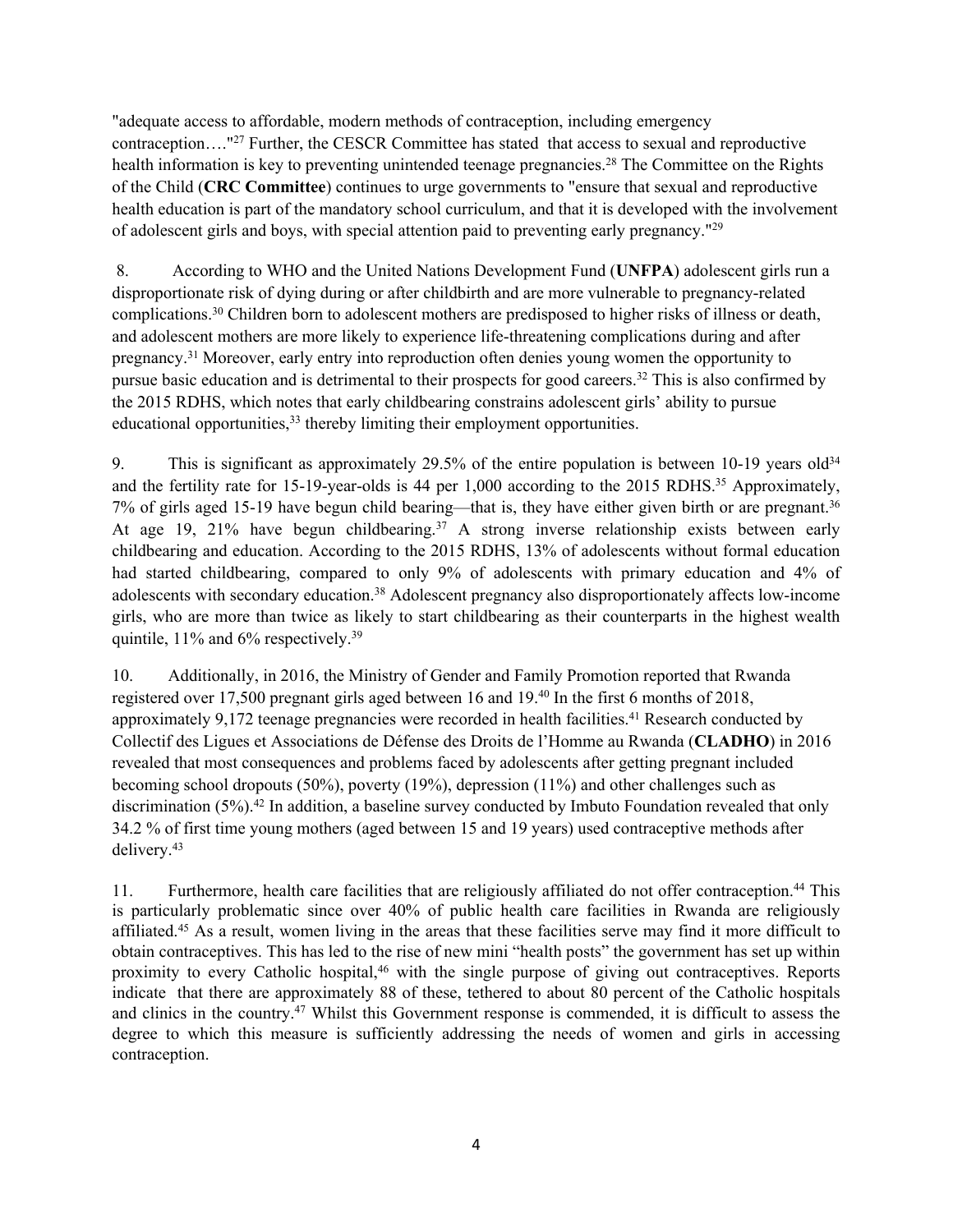"adequate access to affordable, modern methods of contraception, including emergency contraception…." 27 Further, the CESCR Committee has stated that access to sexual and reproductive health information is key to preventing unintended teenage pregnancies. 28 The Committee on the Rights of the Child (**CRC Committee**) continues to urge governments to "ensure that sexual and reproductive health education is par<sup>t</sup> of the mandatory school curriculum, and that it is developed with the involvement of adolescent girls and boys, with special attention paid to preventing early pregnancy."<sup>29</sup>

8. According to WHO and the United Nations Development Fund (**UNFPA**) adolescent girls run <sup>a</sup> disproportionate risk of dying during or after childbirth and are more vulnerable to pregnancy-related complications. <sup>30</sup> Children born to adolescent mothers are predisposed to higher risks of illness or death, and adolescent mothers are more likely to experience life-threatening complications during and after pregnancy. <sup>31</sup> Moreover, early entry into reproduction often denies young women the opportunity to pursue basic education and is detrimental to their prospects for good careers. 32 This is also confirmed by the 2015 RDHS, which notes that early childbearing constrains adolescent girls' ability to pursue educational opportunities,<sup>33</sup> thereby limiting their employment opportunities.

9. This is significant as approximately 29.5% of the entire population is between 10-19 years old<sup>34</sup> and the fertility rate for 15-19-year-olds is 44 per 1,000 according to the 2015 RDHS.<sup>35</sup> Approximately, 7% of girls aged 15-19 have begun child bearing—that is, they have either given birth or are pregnant. 36 At age 19, 21% have begun childbearing. <sup>37</sup> <sup>A</sup> strong inverse relationship exists between early childbearing and education. According to the 2015 RDHS, 13% of adolescents without formal education had started childbearing, compared to only 9% of adolescents with primary education and 4% of adolescents with secondary education. <sup>38</sup> Adolescent pregnancy also disproportionately affects low-income girls, who are more than twice as likely to start childbearing as their counterparts in the highest wealth quintile, 11% and 6% respectively.<sup>39</sup>

10. Additionally, in 2016, the Ministry of Gender and Family Promotion reported that Rwanda registered over 17,500 pregnan<sup>t</sup> girls aged between 16 and 19. 40 In the first 6 months of 2018, approximately 9,172 teenage pregnancies were recorded in health facilities.<sup>41</sup> Research conducted by Collectif des Ligues et Associations de Défense des Droits de l'Homme au Rwanda (**CLADHO**) in 2016 revealed that most consequences and problems faced by adolescents after getting pregnan<sup>t</sup> included becoming school dropouts (50%), poverty (19%), depression (11%) and other challenges such as discrimination (5%). 42 In addition, <sup>a</sup> baseline survey conducted by Imbuto Foundation revealed that only 34.2 % of first time young mothers (aged between 15 and 19 years) used contraceptive methods after delivery. 43

11. Furthermore, health care facilities that are religiously affiliated do not offer contraception. 44 This is particularly problematic since over 40% of public health care facilities in Rwanda are religiously affiliated.<sup>45</sup> As a result, women living in the areas that these facilities serve may find it more difficult to obtain contraceptives. This has led to the rise of new mini "health posts" the governmen<sup>t</sup> has set up within proximity to every Catholic hospital, <sup>46</sup> with the single purpose of <sup>g</sup>iving out contraceptives. Reports indicate that there are approximately 88 of these, tethered to about 80 percen<sup>t</sup> of the Catholic hospitals and clinics in the country.<sup>47</sup> Whilst this Government response is commended, it is difficult to assess the degree to which this measure is sufficiently addressing the needs of women and girls in accessing contraception.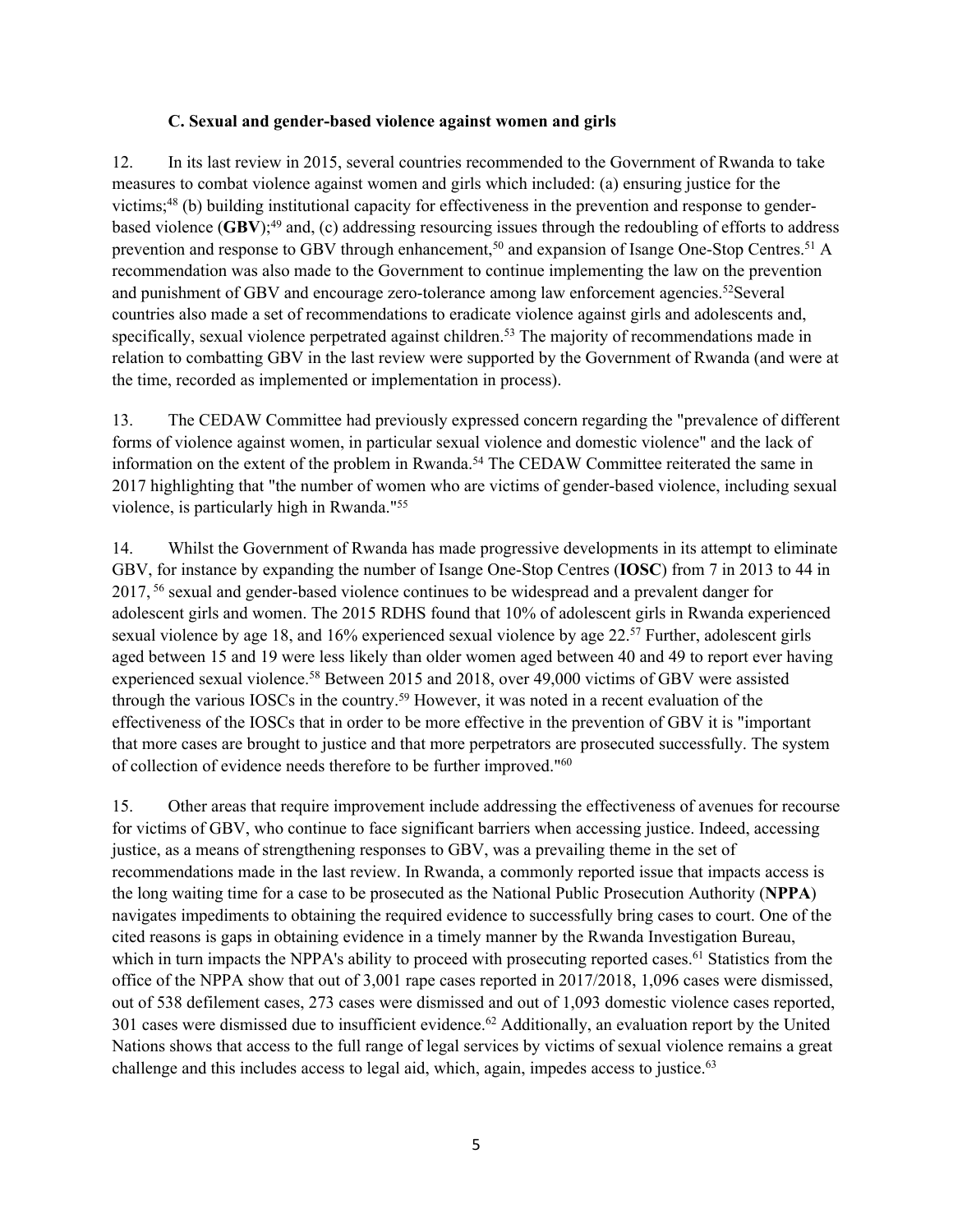#### **C. Sexual and gender-based violence against women and girls**

12. In its last review in 2015, several countries recommended to the Government of Rwanda to take measures to combat violence against women and girls which included: (a) ensuring justice for the victims; 48 (b) building institutional capacity for effectiveness in the prevention and response to genderbased violence (**GBV**); 49 and, (c) addressing resourcing issues through the redoubling of efforts to address prevention and response to GBV through enhancement,<sup>50</sup> and expansion of Isange One-Stop Centres.<sup>51</sup> A recommendation was also made to the Government to continue implementing the law on the prevention and punishment of GBV and encourage zero-tolerance among law enforcement agencies.<sup>52</sup>Several countries also made <sup>a</sup> set of recommendations to eradicate violence against girls and adolescents and, specifically, sexual violence perpetrated against children.<sup>53</sup> The majority of recommendations made in relation to combatting GBV in the last review were supported by the Government of Rwanda (and were at the time, recorded as implemented or implementation in process).

13. The CEDAW Committee had previously expressed concern regarding the "prevalence of different forms of violence against women, in particular sexual violence and domestic violence" and the lack of information on the extent of the problem in Rwanda. 54 The CEDAW Committee reiterated the same in 2017 highlighting that "the number of women who are victims of gender-based violence, including sexual violence, is particularly high in Rwanda." 55

14. Whilst the Government of Rwanda has made progressive developments in its attempt to eliminate GBV, for instance by expanding the number of Isange One-Stop Centres (**IOSC**) from 7 in 2013 to 44 in 2017, 56 sexual and gender-based violence continues to be widespread and <sup>a</sup> prevalent danger for adolescent girls and women. The 2015 RDHS found that 10% of adolescent girls in Rwanda experienced sexual violence by age 18, and 16% experienced sexual violence by age 22.<sup>57</sup> Further, adolescent girls aged between 15 and 19 were less likely than older women aged between 40 and 49 to repor<sup>t</sup> ever having experienced sexual violence. <sup>58</sup> Between 2015 and 2018, over 49,000 victims of GBV were assisted through the various IOSCs in the country. <sup>59</sup> However, it was noted in <sup>a</sup> recent evaluation of the effectiveness of the IOSCs that in order to be more effective in the prevention of GBV it is "important that more cases are brought to justice and that more perpetrators are prosecuted successfully. The system of collection of evidence needs therefore to be further improved."<sup>60</sup>

15. Other areas that require improvement include addressing the effectiveness of avenues for recourse for victims of GBV, who continue to face significant barriers when accessing justice. Indeed, accessing justice, as <sup>a</sup> means of strengthening responses to GBV, was <sup>a</sup> prevailing theme in the set of recommendations made in the last review. In Rwanda, <sup>a</sup> commonly reported issue that impacts access is the long waiting time for <sup>a</sup> case to be prosecuted as the National Public Prosecution Authority (**NPPA**) navigates impediments to obtaining the required evidence to successfully bring cases to court. One of the cited reasons is gaps in obtaining evidence in <sup>a</sup> timely manner by the Rwanda Investigation Bureau, which in turn impacts the NPPA's ability to proceed with prosecuting reported cases.<sup>61</sup> Statistics from the office of the NPPA show that out of 3,001 rape cases reported in 2017/2018, 1,096 cases were dismissed, out of 538 defilement cases, 273 cases were dismissed and out of 1,093 domestic violence cases reported, 301 cases were dismissed due to insufficient evidence.<sup>62</sup> Additionally, an evaluation report by the United Nations shows that access to the full range of legal services by victims of sexual violence remains <sup>a</sup> grea<sup>t</sup> challenge and this includes access to legal aid, which, again, impedes access to justice.<sup>63</sup>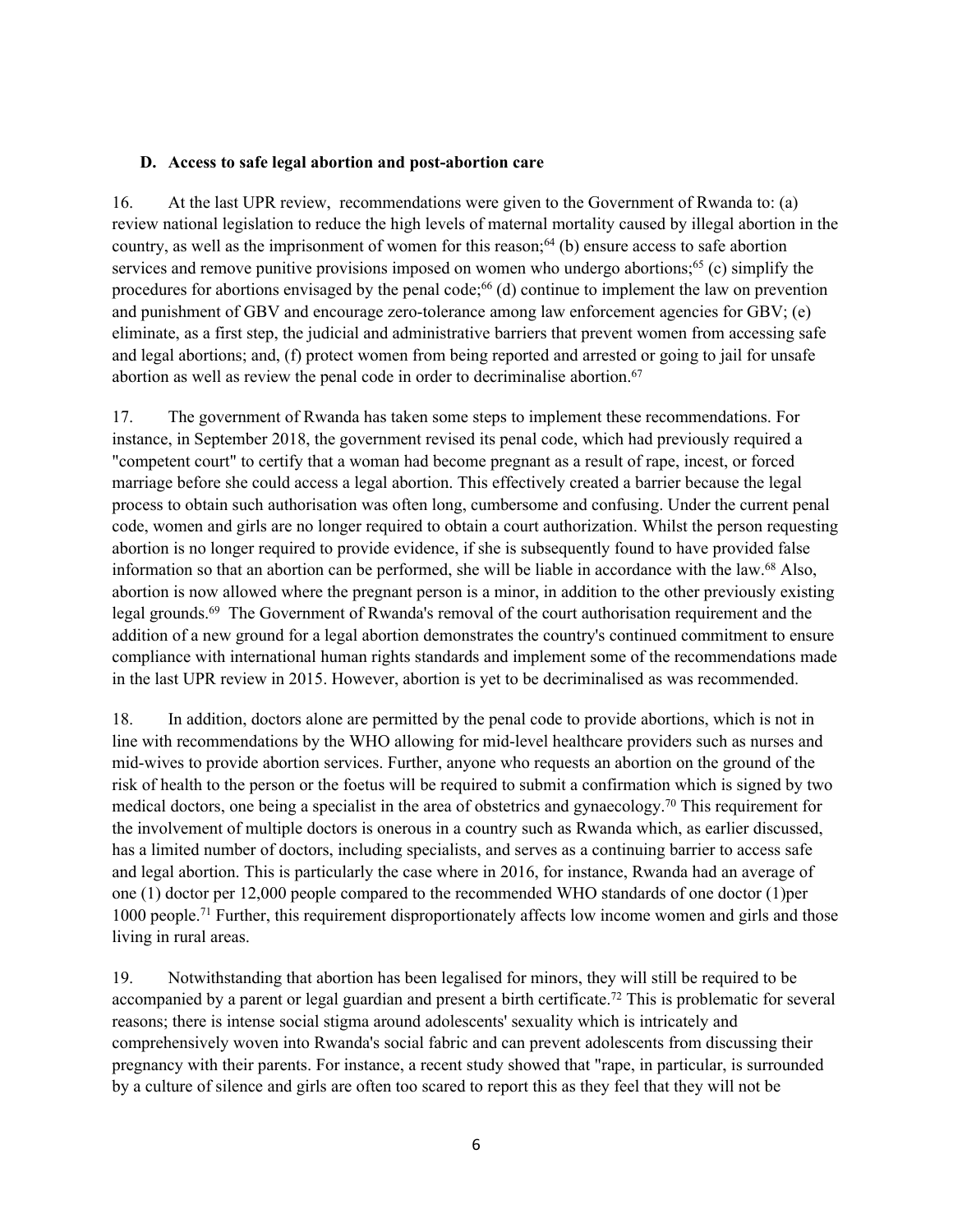#### **D. Access to safe legal abortion and post-abortion care**

16. At the last UPR review, recommendations were given to the Government of Rwanda to: (a) review national legislation to reduce the high levels of maternal mortality caused by illegal abortion in the country, as well as the imprisonment of women for this reason; 64 (b) ensure access to safe abortion services and remove punitive provisions imposed on women who undergo abortions;<sup>65</sup> (c) simplify the procedures for abortions envisaged by the penal code; 66 (d) continue to implement the law on prevention and punishment of GBV and encourage zero-tolerance among law enforcement agencies for GBV; (e) eliminate, as <sup>a</sup> first step, the judicial and administrative barriers that preven<sup>t</sup> women from accessing safe and legal abortions; and, (f) protect women from being reported and arrested or going to jail for unsafe abortion as well as review the penal code in order to decriminalise abortion. 67

17. The governmen<sup>t</sup> of Rwanda has taken some steps to implement these recommendations. For instance, in September 2018, the governmen<sup>t</sup> revised its penal code, which had previously required <sup>a</sup> "competent court" to certify that <sup>a</sup> woman had become pregnan<sup>t</sup> as <sup>a</sup> result of rape, incest, or forced marriage before she could access <sup>a</sup> legal abortion. This effectively created <sup>a</sup> barrier because the legal process to obtain such authorisation was often long, cumbersome and confusing. Under the current penal code, women and girls are no longer required to obtain <sup>a</sup> court authorization. Whilst the person requesting abortion is no longer required to provide evidence, if she is subsequently found to have provided false information so that an abortion can be performed, she will be liable in accordance with the law. <sup>68</sup> Also, abortion is now allowed where the pregnan<sup>t</sup> person is <sup>a</sup> minor, in addition to the other previously existing legal grounds.<sup>69</sup> The Government of Rwanda's removal of the court authorisation requirement and the addition of <sup>a</sup> new ground for <sup>a</sup> legal abortion demonstrates the country's continued commitment to ensure compliance with international human rights standards and implement some of the recommendations made in the last UPR review in 2015. However, abortion is ye<sup>t</sup> to be decriminalised as was recommended.

18. In addition, doctors alone are permitted by the penal code to provide abortions, which is not in line with recommendations by the WHO allowing for mid-level healthcare providers such as nurses and mid-wives to provide abortion services. Further, anyone who requests an abortion on the ground of the risk of health to the person or the foetus will be required to submit <sup>a</sup> confirmation which is signed by two medical doctors, one being <sup>a</sup> specialist in the area of obstetrics and gynaecology. 70 This requirement for the involvement of multiple doctors is onerous in <sup>a</sup> country such as Rwanda which, as earlier discussed, has <sup>a</sup> limited number of doctors, including specialists, and serves as <sup>a</sup> continuing barrier to access safe and legal abortion. This is particularly the case where in 2016, for instance, Rwanda had an average of one (1) doctor per 12,000 people compared to the recommended WHO standards of one doctor (1)per 1000 people.<sup>71</sup> Further, this requirement disproportionately affects low income women and girls and those living in rural areas.

19. Notwithstanding that abortion has been legalised for minors, they will still be required to be accompanied by a parent or legal guardian and present a birth certificate.<sup>72</sup> This is problematic for several reasons; there is intense social stigma around adolescents' sexuality which is intricately and comprehensively woven into Rwanda's social fabric and can preven<sup>t</sup> adolescents from discussing their pregnancy with their parents. For instance, <sup>a</sup> recent study showed that "rape, in particular, is surrounded by <sup>a</sup> culture of silence and girls are often too scared to repor<sup>t</sup> this as they feel that they will not be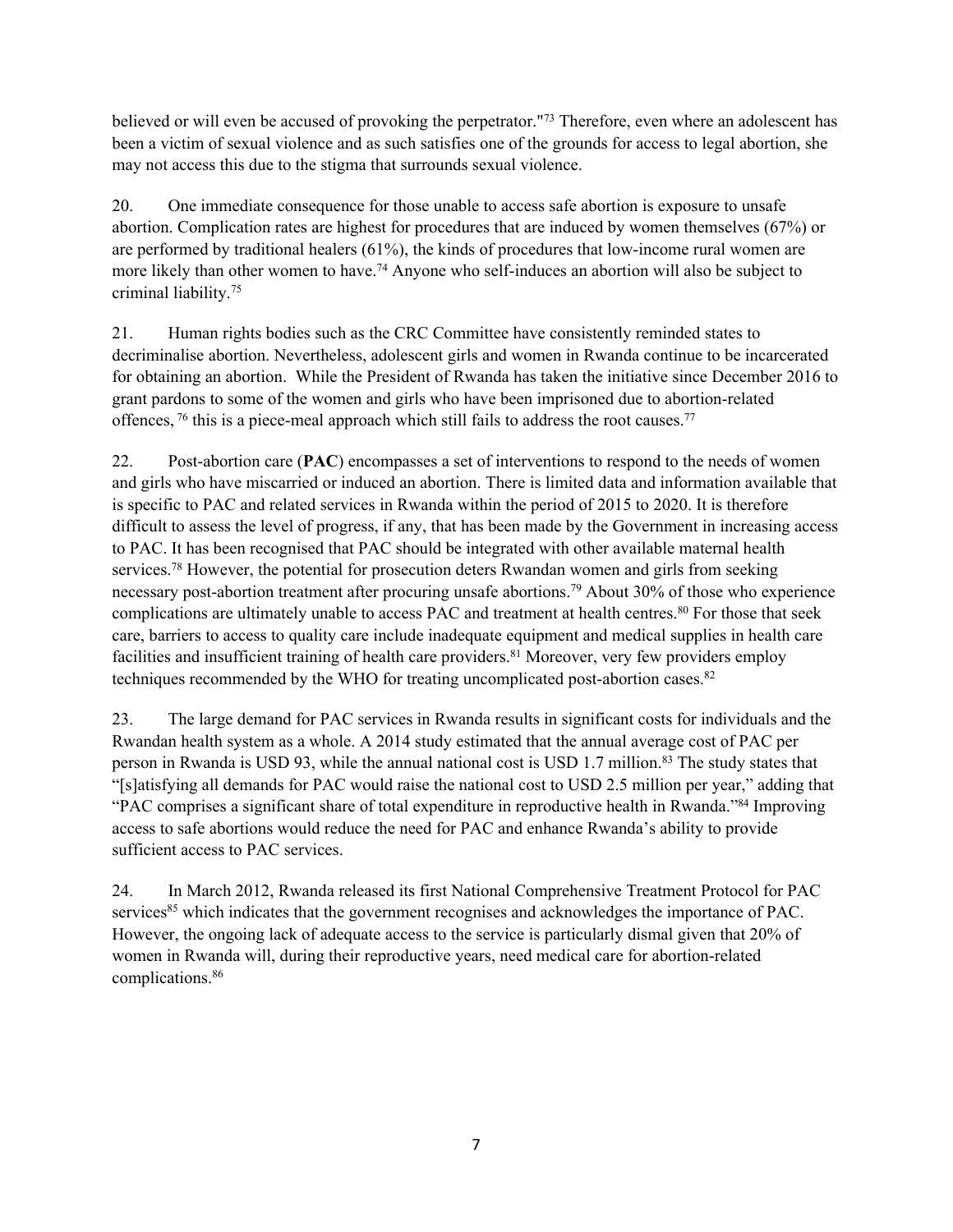believed or will even be accused of provoking the perpetrator." 73 Therefore, even where an adolescent has been <sup>a</sup> victim of sexual violence and as such satisfies one of the grounds for access to legal abortion, she may not access this due to the stigma that surrounds sexual violence.

20. One immediate consequence for those unable to access safe abortion is exposure to unsafe abortion. Complication rates are highest for procedures that are induced by women themselves (67%) or are performed by traditional healers (61%), the kinds of procedures that low-income rural women are more likely than other women to have. <sup>74</sup> Anyone who self-induces an abortion will also be subject to criminal liability. 75

21. Human rights bodies such as the CRC Committee have consistently reminded states to decriminalise abortion. Nevertheless, adolescent girls and women in Rwanda continue to be incarcerated for obtaining an abortion. While the President of Rwanda has taken the initiative since December 2016 to gran<sup>t</sup> pardons to some of the women and girls who have been imprisoned due to abortion-related offences, <sup>76</sup> this is a piece-meal approach which still fails to address the root causes.<sup>77</sup>

22. Post-abortion care (**PAC**) encompasses <sup>a</sup> set of interventions to respond to the needs of women and girls who have miscarried or induced an abortion. There is limited data and information available that is specific to PAC and related services in Rwanda within the period of 2015 to 2020. It is therefore difficult to assess the level of progress, if any, that has been made by the Government in increasing access to PAC. It has been recognised that PAC should be integrated with other available maternal health services.<sup>78</sup> However, the potential for prosecution deters Rwandan women and girls from seeking necessary post-abortion treatment after procuring unsafe abortions. <sup>79</sup> About 30% of those who experience complications are ultimately unable to access PAC and treatment at health centres. 80 For those that seek care, barriers to access to quality care include inadequate equipment and medical supplies in health care facilities and insufficient training of health care providers. <sup>81</sup> Moreover, very few providers employ techniques recommended by the WHO for treating uncomplicated post-abortion cases.<sup>82</sup>

23. The large demand for PAC services in Rwanda results in significant costs for individuals and the Rwandan health system as <sup>a</sup> whole. A2014 study estimated that the annual average cost of PAC per person in Rwanda is USD 93, while the annual national cost is USD 1.7 million.<sup>83</sup> The study states that "[s]atisfying all demands for PAC would raise the national cost to USD 2.5 million per year," adding that "PAC comprises <sup>a</sup> significant share of total expenditure in reproductive health in Rwanda."<sup>84</sup> Improving access to safe abortions would reduce the need for PAC and enhance Rwanda'<sup>s</sup> ability to provide sufficient access to PAC services.

24. In March 2012, Rwanda released its first National Comprehensive Treatment Protocol for PAC services<sup>85</sup> which indicates that the government recognises and acknowledges the importance of PAC. However, the ongoing lack of adequate access to the service is particularly dismal given that 20% of women in Rwanda will, during their reproductive years, need medical care for abortion-related complications. 86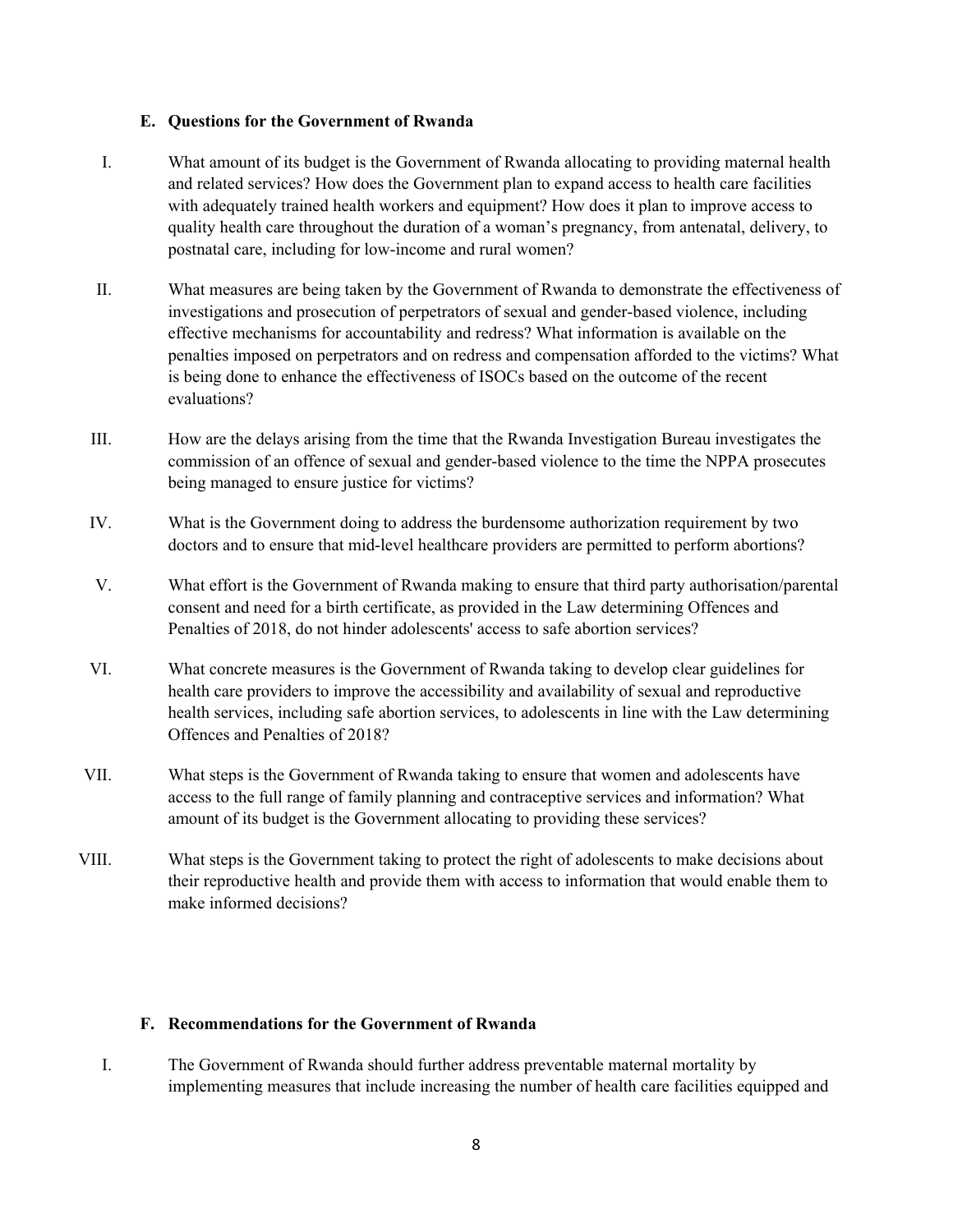## **E. Questions for the Government of Rwanda**

- I. What amount of its budget is the Government of Rwanda allocating to providing maternal health and related services? How does the Government plan to expand access to health care facilities with adequately trained health workers and equipment? How does it plan to improve access to quality health care throughout the duration of <sup>a</sup> woman'<sup>s</sup> pregnancy, from antenatal, delivery, to postnatal care, including for low-income and rural women?
- II. What measures are being taken by the Government of Rwanda to demonstrate the effectiveness of investigations and prosecution of perpetrators of sexual and gender-based violence, including effective mechanisms for accountability and redress? What information is available on the penalties imposed on perpetrators and on redress and compensation afforded to the victims? What is being done to enhance the effectiveness of ISOCs based on the outcome of the recent evaluations?
- III. How are the delays arising from the time that the Rwanda Investigation Bureau investigates the commission of an offence of sexual and gender-based violence to the time the NPPA prosecutes being managed to ensure justice for victims?
- IV. What is the Government doing to address the burdensome authorization requirement by two doctors and to ensure that mid-level healthcare providers are permitted to perform abortions?
- V. What effort is the Government of Rwanda making to ensure that third party authorisation/parental consent and need for <sup>a</sup> birth certificate, as provided in the Law determining Offences and Penalties of 2018, do not hinder adolescents' access to safe abortion services?
- VI. What concrete measures is the Government of Rwanda taking to develop clear guidelines for health care providers to improve the accessibility and availability of sexual and reproductive health services, including safe abortion services, to adolescents in line with the Law determining Offences and Penalties of 2018?
- VII. What steps is the Government of Rwanda taking to ensure that women and adolescents have access to the full range of family planning and contraceptive services and information? What amount of its budget is the Government allocating to providing these services?
- VIII. What steps is the Government taking to protect the right of adolescents to make decisions about their reproductive health and provide them with access to information that would enable them to make informed decisions?

## **F. Recommendations for the Government of Rwanda**

I. The Government of Rwanda should further address preventable maternal mortality by implementing measures that include increasing the number of health care facilities equipped and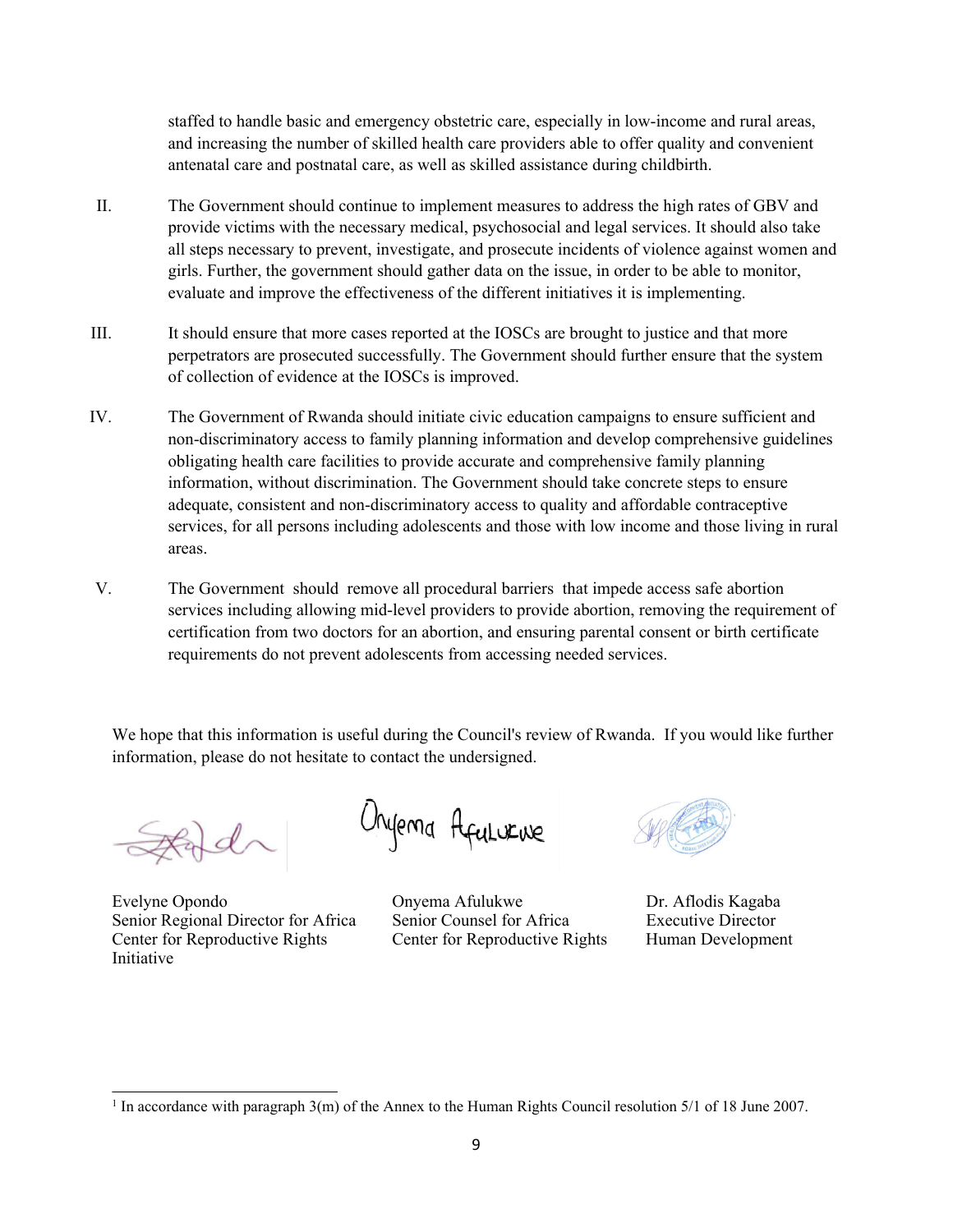staffed to handle basic and emergency obstetric care, especially in low-income and rural areas, and increasing the number of skilled health care providers able to offer quality and convenient antenatal care and postnatal care, as well as skilled assistance during childbirth.

- II. The Government should continue to implement measures to address the high rates of GBV and provide victims with the necessary medical, psychosocial and legal services. It should also take all steps necessary to prevent, investigate, and prosecute incidents of violence against women and girls. Further, the governmen<sup>t</sup> should gather data on the issue, in order to be able to monitor, evaluate and improve the effectiveness of the different initiatives it is implementing.
- III. It should ensure that more cases reported at the IOSCs are brought to justice and that more perpetrators are prosecuted successfully. The Government should further ensure that the system of collection of evidence at the IOSCs is improved.
- IV. The Government of Rwanda should initiate civic education campaigns to ensure sufficient and non-discriminatory access to family planning information and develop comprehensive guidelines obligating health care facilities to provide accurate and comprehensive family planning information, without discrimination. The Government should take concrete steps to ensure adequate, consistent and non-discriminatory access to quality and affordable contraceptive services, for all persons including adolescents and those with low income and those living in rural areas.
- V. The Government should remove all procedural barriers that impede access safe abortion services including allowing mid-level providers to provide abortion, removing the requirement of certification from two doctors for an abortion, and ensuring parental consent or birth certificate requirements do not preven<sup>t</sup> adolescents from accessing needed services.

We hope that this information is useful during the Council's review of Rwanda. If you would like further information, please do not hesitate to contact the undersigned.

Evelyne Opondo Onyema Afulukwe Dr. Aflodis Kagaba Senior Regional Director for Africa Senior Counsel for Africa Executive Director Center for Reproductive Rights Center for Reproductive Rights Human Development Initiative

Orgerna Afulurive



<sup>1</sup> In accordance with paragraph 3(m) of the Annex to the Human Rights Council resolution 5/1 of 18 June 2007.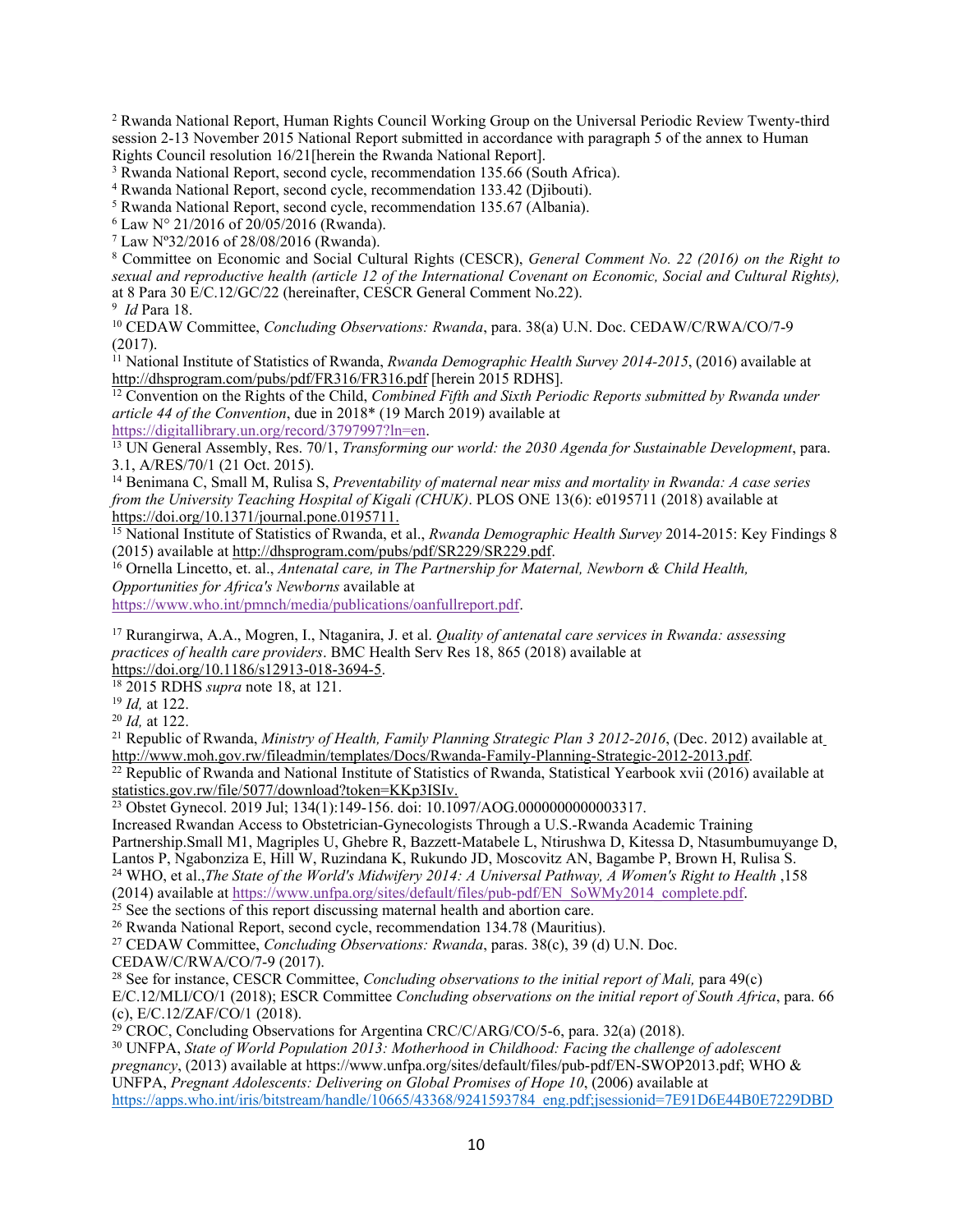<sup>2</sup> Rwanda National Report, Human Rights Council Working Group on the Universal Periodic Review Twenty-third session 2-13 November 2015 National Report submitted in accordance with paragraph 5 of the annex to Human Rights Council resolution 16/21[herein the Rwanda National Report].

<sup>3</sup> Rwanda National Report, second cycle, recommendation 135.66 (South Africa).

<sup>4</sup> Rwanda National Report, second cycle, recommendation 133.42 (Djibouti).

<sup>5</sup> Rwanda National Report, second cycle, recommendation 135.67 (Albania).

 $6$  Law N° 21/2016 of 20/05/2016 (Rwanda).

7 Law Nº32/2016 of 28/08/2016 (Rwanda).

<sup>8</sup> Committee on Economic and Social Cultural Rights (CESCR), *General Comment No. <sup>22</sup> (2016) on the Right to* sexual and reproductive health (article 12 of the International Covenant on Economic, Social and Cultural Rights), at 8 Para 30 E/C.12/GC/22 (hereinafter, CESCR General Comment No.22).

9 *Id* Para 18.

<sup>10</sup> CEDAW Committee, *Concluding Observations: Rwanda*, para. 38(a) U.N. Doc. CEDAW/C/RWA/CO/7-9 (2017).

<sup>11</sup> National Institute of Statistics of Rwanda, *Rwanda Demographic Health Survey 2014-2015*, (2016) available at <http://dhsprogram.com/pubs/pdf/FR316/FR316.pdf> [herein 2015 RDHS].

<sup>12</sup> Convention on the Rights of the Child, *Combined Fifth and Sixth Periodic Reports submitted by Rwanda under article 44 of the Convention*, due in 2018\* (19 March 2019) available at

<https://digitallibrary.un.org/record/3797997?ln=en>.

<sup>13</sup> UN General Assembly, Res. 70/1, *Transforming our world: the 2030 Agenda for Sustainable Development*, para. 3.1, A/RES/70/1 (21 Oct. 2015).

<sup>14</sup> Benimana C, Small M, Rulisa S, *Preventability of maternal near miss and mortality in Rwanda: <sup>A</sup> case series from the University Teaching Hospital of Kigali (CHUK)*. PLOS ONE 13(6): e0195711 (2018) available at <https://doi.org/10.1371/journal.pone.0195711>.

<sup>15</sup> National Institute of Statistics of Rwanda, et al., *Rwanda Demographic Health Survey* 2014-2015: Key Findings 8 (2015) available at <http://dhsprogram.com/pubs/pdf/SR229/SR229.pdf>.

<sup>16</sup> Ornella Lincetto, et. al., *Antenatal care, in The Partnership for Maternal, Newborn & Child Health, Opportunities for Africa's Newborns* available at

<https://www.who.int/pmnch/media/publications/oanfullreport.pdf>.

<sup>17</sup> Rurangirwa, A.A., Mogren, I., Ntaganira, J. et al. *Quality of antenatal care services in Rwanda: assessing practices of health care providers*. BMC Health Serv Res 18, 865 (2018) available at <https://doi.org/10.1186/s12913-018-3694-5>.

18 2015 RDHS *supra* note 18, at 121.

19 *Id,* at 122.

20 *Id,* at 122.

<sup>21</sup> Republic of Rwanda, *Ministry of Health, Family Planning Strategic Plan 3 2012-2016*, (Dec. 2012) available at <http://www.moh.gov.rw/fileadmin/templates/Docs/Rwanda-Family-Planning-Strategic-2012-2013.pdf>.

<sup>22</sup> Republic of Rwanda and National Institute of Statistics of Rwanda, Statistical Yearbook xvii (2016) available at [statistics.gov.rw/file/5077/download?token=KKp3ISIv.](http://statistics.gov.rw/file/5077/download?token=KKp3ISIv.)

<sup>23</sup> Obstet Gynecol. 2019 Jul; 134(1):149-156. doi: 10.1097/AOG.0000000000003317.

Increased Rwandan Access to Obstetrician-Gynecologists Through <sup>a</sup> U.S.-Rwanda Academic Training Partnership.Small M1, Magriples U, Ghebre R, Bazzett-Matabele L, Ntirushwa D, Kitessa D, Ntasumbumuyange D, Lantos P, Ngabonziza E, Hill W, Ruzindana K, Rukundo JD, Moscovitz AN, Bagambe P, Brown H, Rulisa S. <sup>24</sup> WHO, et al.,*The State of the World's Midwifery 2014: <sup>A</sup> Universal Pathway, <sup>A</sup> Women's Right to Health* ,158 (2014) available at [https://www.unfpa.org/sites/default/files/pub-pdf/EN\\_SoWMy2014\\_complete.pdf](https://www.unfpa.org/sites/default/files/pub-pdf/EN_SoWMy2014_complete.pdf).

<sup>25</sup> See the sections of this report discussing maternal health and abortion care.

<sup>26</sup> Rwanda National Report, second cycle, recommendation 134.78 (Mauritius).

<sup>27</sup> CEDAW Committee, *Concluding Observations: Rwanda*, paras. 38(c), 39 (d) U.N. Doc. CEDAW/C/RWA/CO/7-9 (2017).

28 See for instance, CESCR Committee, *Concluding observations to the initial repor<sup>t</sup> of Mali,* para 49(c)

E/C.12/MLI/CO/1 (2018); ESCR Committee *Concluding observations on the initial repor<sup>t</sup> of South Africa*, para. 66 (c), E/C.12/ZAF/CO/1 (2018).

<sup>29</sup> CROC, Concluding Observations for Argentina CRC/C/ARG/CO/5-6, para. 32(a) (2018).

<sup>30</sup> UNFPA, *State of World Population 2013: Motherhood in Childhood: Facing the challenge of adolescent pregnancy*, (2013) available at https://www.unfpa.org/sites/default/files/pub-pdf/EN-SWOP2013.pdf; WHO & UNFPA, *Pregnant Adolescents: Delivering on Global Promises of Hope 10*, (2006) available at [https://apps.who.int/iris/bitstream/handle/10665/43368/9241593784\\_eng.pdf;jsessionid=7E91D6E44B0E7229DBD](https://apps.who.int/iris/bitstream/handle/10665/43368/9241593784_eng.pdf;jsessionid=7E91D6E44B0E7229DBD69291F7AD4E4F?sequence=1)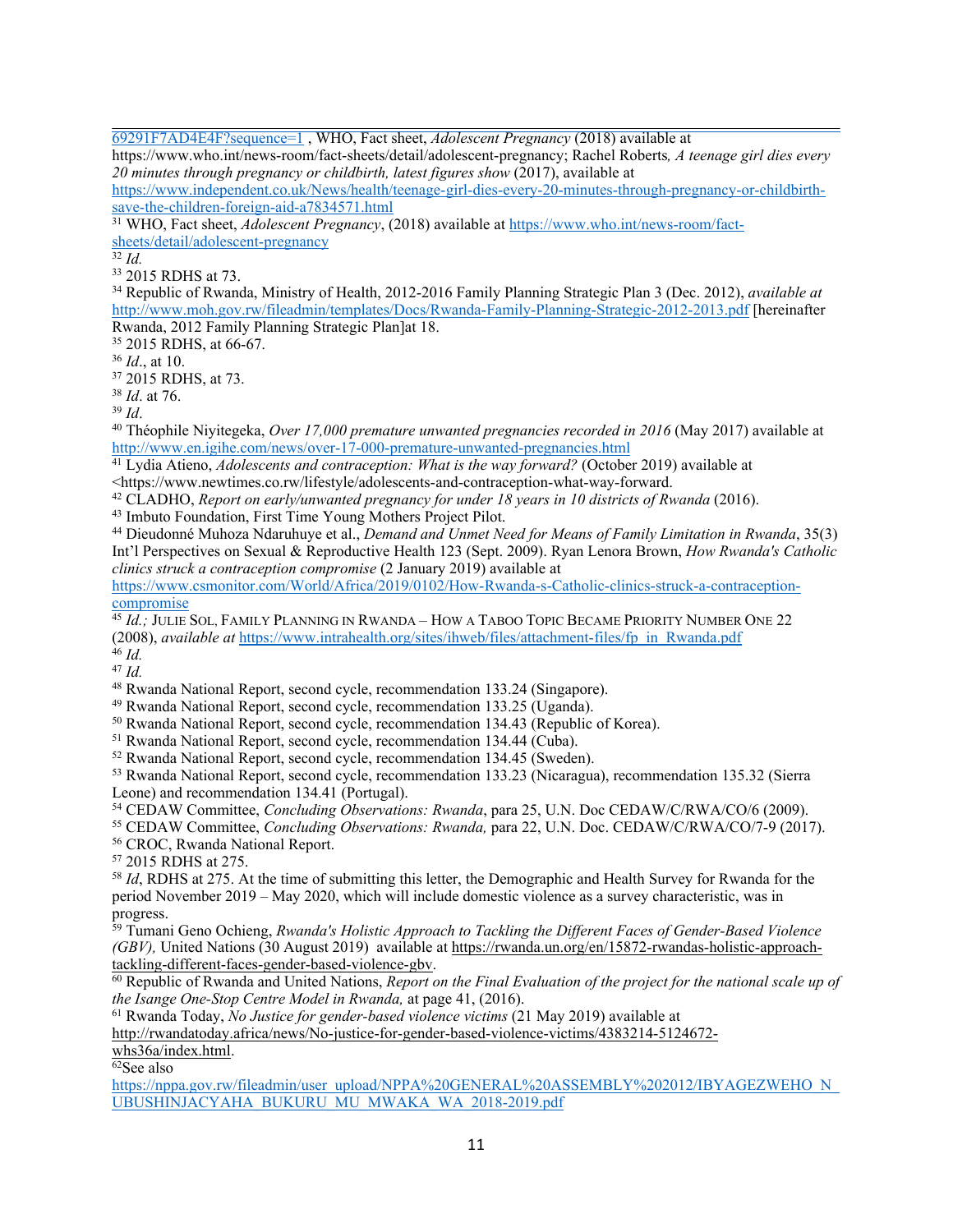[69291F7AD4E4F?sequence=1](https://apps.who.int/iris/bitstream/handle/10665/43368/9241593784_eng.pdf;jsessionid=7E91D6E44B0E7229DBD69291F7AD4E4F?sequence=1) , WHO, Fact sheet, *Adolescent Pregnancy* (2018) available at

https://www.who.int/news-room/fact-sheets/detail/adolescent-pregnancy; Rachel Roberts*, A teenage girl dies every 20 minutes through pregnancy or childbirth, latest figures show* (2017), available at

[https://www.independent.co.uk/News/health/teenage-girl-dies-every-20-minutes-through-pregnancy-or-childbirth](https://www.independent.co.uk/News/health/teenage-girl-dies-every-20-minutes-through-pregnancy-or-childbirth-save-the-children-foreign-aid-a7834571.html)[save-the-children-foreign-aid-a7834571.html](https://www.independent.co.uk/News/health/teenage-girl-dies-every-20-minutes-through-pregnancy-or-childbirth-save-the-children-foreign-aid-a7834571.html)

<sup>31</sup> WHO, Fact sheet, *Adolescent Pregnancy*, (2018) available at [https://www.who.int/news-room/fact](https://www.who.int/news-room/fact-sheets/detail/adolescent-pregnancy)[sheets/detail/adolescent-pregnancy](https://www.who.int/news-room/fact-sheets/detail/adolescent-pregnancy)

32 *Id.*

33 2015 RDHS at 73.

<sup>34</sup> Republic of Rwanda, Ministry of Health, 2012-2016 Family Planning Strategic Plan 3 (Dec. 2012), *available at* <http://www.moh.gov.rw/fileadmin/templates/Docs/Rwanda-Family-Planning-Strategic-2012-2013.pdf> [hereinafter Rwanda, 2012 Family Planning Strategic Plan]at 18.

35 2015 RDHS, at 66-67.

36 *Id*., at 10.

37 2015 RDHS, at 73.

38 *Id*. at 76.

39 *Id*.

40 Théophile Niyitegeka, *Over 17,000 premature unwanted pregnancies recorded in 2016* (May 2017) available at <http://www.en.igihe.com/news/over-17-000-premature-unwanted-pregnancies.html>

41 Lydia Atieno, *Adolescents and contraception: What is the way forward?* (October 2019) available at <https://www.newtimes.co.rw/lifestyle/adolescents-and-contraception-what-way-forward.

<sup>42</sup> CLADHO, *Report on early/unwanted pregnancy for under 18 years in 10 districts of Rwanda* (2016).

43 Imbuto Foundation, First Time Young Mothers Project Pilot.

<sup>44</sup> Dieudonné Muhoza Ndaruhuye et al., *Demand and Unmet Need for Means of Family Limitation in Rwanda*, 35(3) Int'l Perspectives on Sexual & Reproductive Health 123 (Sept. 2009). Ryan Lenora Brown, *How Rwanda's Catholic clinics struck <sup>a</sup> contraception compromise* (2 January 2019) available at

[https://www.csmonitor.com/World/Africa/2019/0102/How-Rwanda-s-Catholic-clinics-struck-a-contraception](https://www.csmonitor.com/World/Africa/2019/0102/How-Rwanda-s-Catholic-clinics-struck-a-contraception-compromise)[comprom](https://www.csmonitor.com/World/Africa/2019/0102/How-Rwanda-s-Catholic-clinics-struck-a-contraception-compromise)ise

<sup>45</sup> Id.; Julie Sol, Family Planning in Rwanda – How a Taboo Topic Became Priority Number One 22 (2008), *available at* [https://www.intrahealth.org/sites/ihweb/files/attachment-files/fp\\_in\\_Rwanda.pdf](https://www.intrahealth.org/sites/ihweb/files/attachment-files/fp_in_Rwanda.pdf)

46 *Id.*

47 *Id.*

<sup>48</sup> Rwanda National Report, second cycle, recommendation 133.24 (Singapore).

<sup>49</sup> Rwanda National Report, second cycle, recommendation 133.25 (Uganda).

<sup>50</sup> Rwanda National Report, second cycle, recommendation 134.43 (Republic of Korea).

<sup>51</sup> Rwanda National Report, second cycle, recommendation 134.44 (Cuba).

<sup>52</sup> Rwanda National Report, second cycle, recommendation 134.45 (Sweden).

<sup>53</sup> Rwanda National Report, second cycle, recommendation 133.23 (Nicaragua), recommendation 135.32 (Sierra Leone) and recommendation 134.41 (Portugal).

<sup>54</sup> CEDAW Committee, *Concluding Observations: Rwanda*, para 25, U.N. Doc CEDAW/C/RWA/CO/6 (2009).

<sup>55</sup> CEDAW Committee, *Concluding Observations: Rwanda,* para 22, U.N. Doc. CEDAW/C/RWA/CO/7-9 (2017).

<sup>56</sup> CROC, Rwanda National Report.

57 2015 RDHS at 275.

58 *Id*, RDHS at 275. At the time of submitting this letter, the Demographic and Health Survey for Rwanda for the period November 2019 – May 2020, which will include domestic violence as <sup>a</sup> survey characteristic, was in

progress. 59 Tumani Geno Ochieng, *Rwanda's Holistic Approach to Tackling the Different Faces of Gender-Based Violence (GBV),* United Nations (30 August 2019) available at [https://rwanda.un.org/en/15872-rwandas-holistic-approach](https://rwanda.un.org/en/15872-rwandas-holistic-approach-tackling-different-faces-gender-based-violence-gbv)[tackling-different-faces-gender-based-violence-gbv](https://rwanda.un.org/en/15872-rwandas-holistic-approach-tackling-different-faces-gender-based-violence-gbv).

<sup>60</sup> Republic of Rwanda and United Nations, *Report on the Final Evaluation of the project for the national scale up of the Isange One-Stop Centre Model in Rwanda,* at page 41, (2016).

<sup>61</sup> Rwanda Today, *No Justice for gender-based violence victims* (21 May 2019) available at

[http://rwandatoday.africa/news/No-justice-for-gender-based-violence-victims/4383214-5124672-](http://rwandatoday.africa/news/No-justice-for-gender-based-violence-victims/4383214-5124672-whs36a/index.html)

[whs36a/index.html](http://rwandatoday.africa/news/No-justice-for-gender-based-violence-victims/4383214-5124672-whs36a/index.html).

62 See also

[https://nppa.gov.rw/fileadmin/user\\_upload/NPPA%20GENERAL%20ASSEMBLY%202012/IBYAGEZWEHO\\_N\\_](https://nppa.gov.rw/fileadmin/user_upload/NPPA%20GENERAL%20ASSEMBLY%202012/IBYAGEZWEHO_N_UBUSHINJACYAHA_BUKURU_MU_MWAKA_WA_2018-2019.pdf) [UBUSHINJACYAHA\\_BUKURU\\_MU\\_MWAKA\\_WA\\_2018-2019.pdf](https://nppa.gov.rw/fileadmin/user_upload/NPPA%20GENERAL%20ASSEMBLY%202012/IBYAGEZWEHO_N_UBUSHINJACYAHA_BUKURU_MU_MWAKA_WA_2018-2019.pdf)